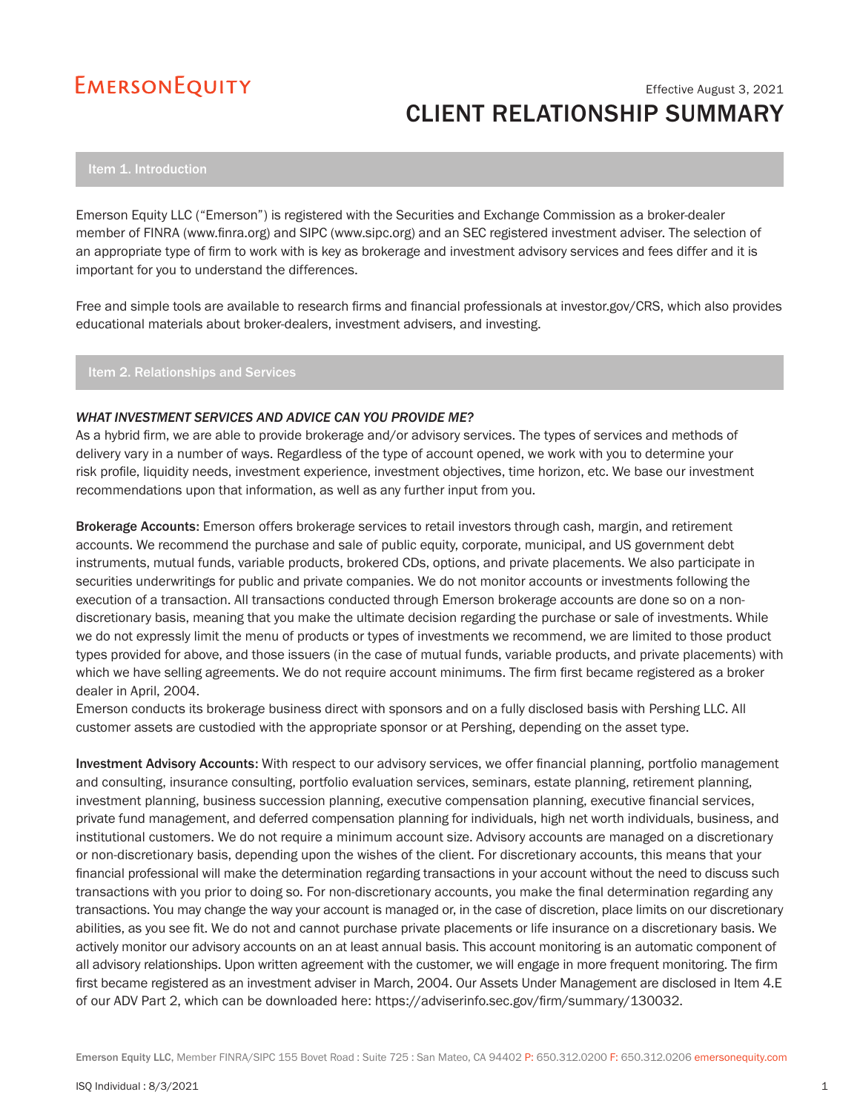# Effective August 3, 2021 CLIENT RELATIONSHIP SUMMARY

Emerson Equity LLC ("Emerson") is registered with the Securities and Exchange Commission as a broker-dealer member of FINRA (www.finra.org) and SIPC (www.sipc.org) and an SEC registered investment adviser. The selection of an appropriate type of firm to work with is key as brokerage and investment advisory services and fees differ and it is important for you to understand the differences.

Free and simple tools are available to research firms and financial professionals at investor.gov/CRS, which also provides educational materials about broker-dealers, investment advisers, and investing.

Item 2. Relationships and Services

### *WHAT INVESTMENT SERVICES AND ADVICE CAN YOU PROVIDE ME?*

As a hybrid firm, we are able to provide brokerage and/or advisory services. The types of services and methods of delivery vary in a number of ways. Regardless of the type of account opened, we work with you to determine your risk profile, liquidity needs, investment experience, investment objectives, time horizon, etc. We base our investment recommendations upon that information, as well as any further input from you.

Brokerage Accounts: Emerson offers brokerage services to retail investors through cash, margin, and retirement accounts. We recommend the purchase and sale of public equity, corporate, municipal, and US government debt instruments, mutual funds, variable products, brokered CDs, options, and private placements. We also participate in securities underwritings for public and private companies. We do not monitor accounts or investments following the execution of a transaction. All transactions conducted through Emerson brokerage accounts are done so on a nondiscretionary basis, meaning that you make the ultimate decision regarding the purchase or sale of investments. While we do not expressly limit the menu of products or types of investments we recommend, we are limited to those product types provided for above, and those issuers (in the case of mutual funds, variable products, and private placements) with which we have selling agreements. We do not require account minimums. The firm first became registered as a broker dealer in April, 2004.

Emerson conducts its brokerage business direct with sponsors and on a fully disclosed basis with Pershing LLC. All customer assets are custodied with the appropriate sponsor or at Pershing, depending on the asset type.

Investment Advisory Accounts: With respect to our advisory services, we offer financial planning, portfolio management and consulting, insurance consulting, portfolio evaluation services, seminars, estate planning, retirement planning, investment planning, business succession planning, executive compensation planning, executive financial services, private fund management, and deferred compensation planning for individuals, high net worth individuals, business, and institutional customers. We do not require a minimum account size. Advisory accounts are managed on a discretionary or non-discretionary basis, depending upon the wishes of the client. For discretionary accounts, this means that your financial professional will make the determination regarding transactions in your account without the need to discuss such transactions with you prior to doing so. For non-discretionary accounts, you make the final determination regarding any transactions. You may change the way your account is managed or, in the case of discretion, place limits on our discretionary abilities, as you see fit. We do not and cannot purchase private placements or life insurance on a discretionary basis. We actively monitor our advisory accounts on an at least annual basis. This account monitoring is an automatic component of all advisory relationships. Upon written agreement with the customer, we will engage in more frequent monitoring. The firm first became registered as an investment adviser in March, 2004. Our Assets Under Management are disclosed in Item 4.E of our ADV Part 2, which can be downloaded here: https://adviserinfo.sec.gov/firm/summary/130032.

Emerson Equity LLC, Member FINRA/SIPC 155 Bovet Road : Suite 725 : San Mateo, CA 94402 P: 650.312.0200 F: 650.312.0206 emersonequity.com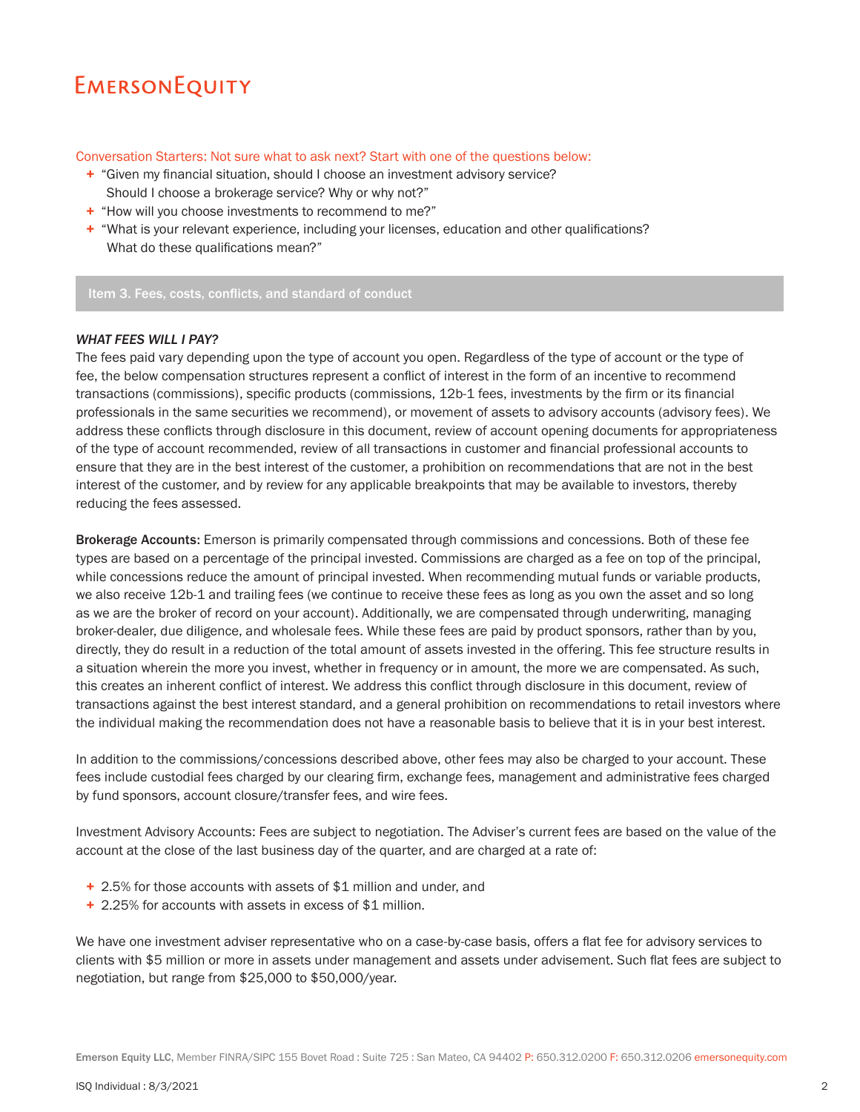## Conversation Starters: Not sure what to ask next? Start with one of the questions below:

- + "Given my financial situation, should I choose an investment advisory service? Should I choose a brokerage service? Why or why not?"
- + "How will you choose investments to recommend to me?"
- + "What is your relevant experience, including your licenses, education and other qualifications? What do these qualifications mean?"

Item 3. Fees, costs, conflicts, and standard of conduct

## *WHAT FEES WILL I PAY?*

The fees paid vary depending upon the type of account you open. Regardless of the type of account or the type of fee, the below compensation structures represent a conflict of interest in the form of an incentive to recommend transactions (commissions), specific products (commissions, 12b-1 fees, investments by the firm or its financial professionals in the same securities we recommend), or movement of assets to advisory accounts (advisory fees). We address these conflicts through disclosure in this document, review of account opening documents for appropriateness of the type of account recommended, review of all transactions in customer and financial professional accounts to ensure that they are in the best interest of the customer, a prohibition on recommendations that are not in the best interest of the customer, and by review for any applicable breakpoints that may be available to investors, thereby reducing the fees assessed.

Brokerage Accounts: Emerson is primarily compensated through commissions and concessions. Both of these fee types are based on a percentage of the principal invested. Commissions are charged as a fee on top of the principal, while concessions reduce the amount of principal invested. When recommending mutual funds or variable products, we also receive 12b-1 and trailing fees (we continue to receive these fees as long as you own the asset and so long as we are the broker of record on your account). Additionally, we are compensated through underwriting, managing broker-dealer, due diligence, and wholesale fees. While these fees are paid by product sponsors, rather than by you, directly, they do result in a reduction of the total amount of assets invested in the offering. This fee structure results in a situation wherein the more you invest, whether in frequency or in amount, the more we are compensated. As such, this creates an inherent conflict of interest. We address this conflict through disclosure in this document, review of transactions against the best interest standard, and a general prohibition on recommendations to retail investors where the individual making the recommendation does not have a reasonable basis to believe that it is in your best interest.

In addition to the commissions/concessions described above, other fees may also be charged to your account. These fees include custodial fees charged by our clearing firm, exchange fees, management and administrative fees charged by fund sponsors, account closure/transfer fees, and wire fees.

Investment Advisory Accounts: Fees are subject to negotiation. The Adviser's current fees are based on the value of the account at the close of the last business day of the quarter, and are charged at a rate of:

- + 2.5% for those accounts with assets of \$1 million and under, and
- + 2.25% for accounts with assets in excess of \$1 million.

We have one investment adviser representative who on a case-by-case basis, offers a flat fee for advisory services to clients with \$5 million or more in assets under management and assets under advisement. Such flat fees are subject to negotiation, but range from \$25,000 to \$50,000/year.

Emerson Equity LLC, Member FINRA/SIPC 155 Bovet Road : Suite 725 : San Mateo, CA 94402 P: 650.312.0200 F: 650.312.0206 emersonequity.com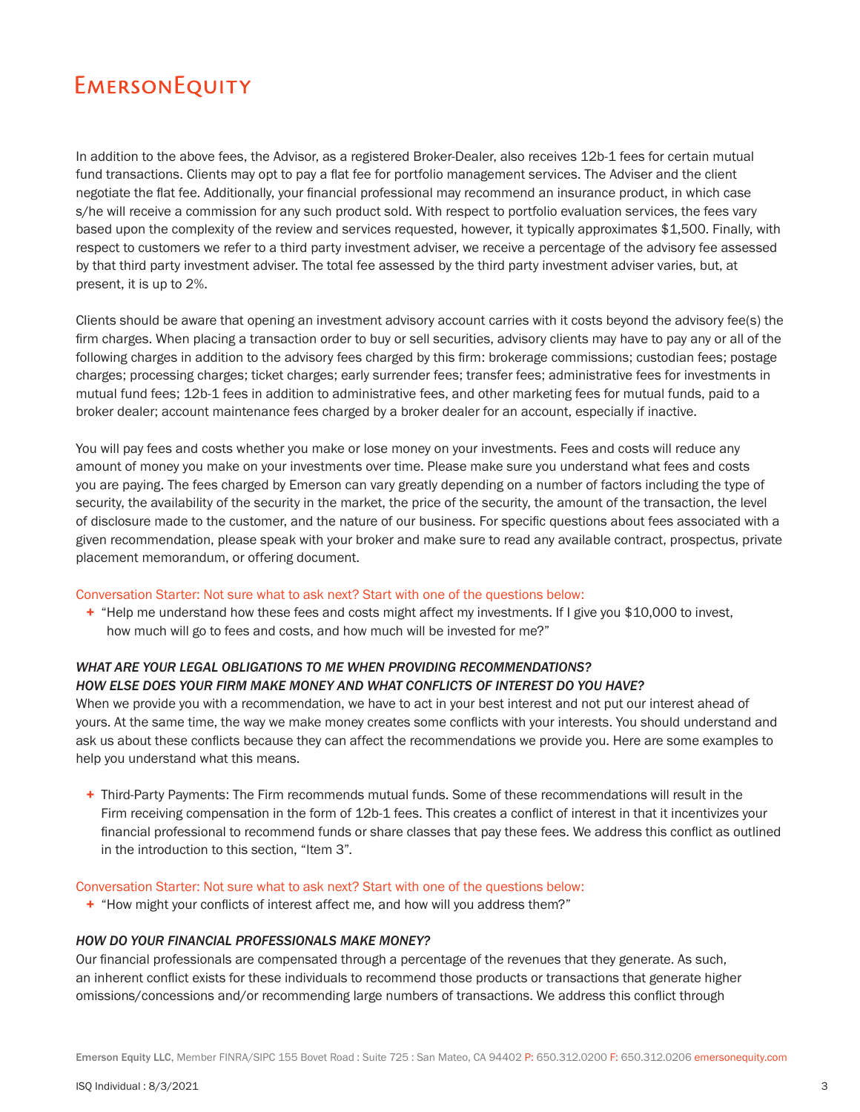In addition to the above fees, the Advisor, as a registered Broker-Dealer, also receives 12b-1 fees for certain mutual fund transactions. Clients may opt to pay a flat fee for portfolio management services. The Adviser and the client negotiate the flat fee. Additionally, your financial professional may recommend an insurance product, in which case s/he will receive a commission for any such product sold. With respect to portfolio evaluation services, the fees vary based upon the complexity of the review and services requested, however, it typically approximates \$1,500. Finally, with respect to customers we refer to a third party investment adviser, we receive a percentage of the advisory fee assessed by that third party investment adviser. The total fee assessed by the third party investment adviser varies, but, at present, it is up to 2%.

Clients should be aware that opening an investment advisory account carries with it costs beyond the advisory fee(s) the firm charges. When placing a transaction order to buy or sell securities, advisory clients may have to pay any or all of the following charges in addition to the advisory fees charged by this firm: brokerage commissions; custodian fees; postage charges; processing charges; ticket charges; early surrender fees; transfer fees; administrative fees for investments in mutual fund fees; 12b-1 fees in addition to administrative fees, and other marketing fees for mutual funds, paid to a broker dealer; account maintenance fees charged by a broker dealer for an account, especially if inactive.

You will pay fees and costs whether you make or lose money on your investments. Fees and costs will reduce any amount of money you make on your investments over time. Please make sure you understand what fees and costs you are paying. The fees charged by Emerson can vary greatly depending on a number of factors including the type of security, the availability of the security in the market, the price of the security, the amount of the transaction, the level of disclosure made to the customer, and the nature of our business. For specific questions about fees associated with a given recommendation, please speak with your broker and make sure to read any available contract, prospectus, private placement memorandum, or offering document.

### Conversation Starter: Not sure what to ask next? Start with one of the questions below:

+ "Help me understand how these fees and costs might affect my investments. If I give you \$10,000 to invest, how much will go to fees and costs, and how much will be invested for me?"

# *WHAT ARE YOUR LEGAL OBLIGATIONS TO ME WHEN PROVIDING RECOMMENDATIONS? HOW ELSE DOES YOUR FIRM MAKE MONEY AND WHAT CONFLICTS OF INTEREST DO YOU HAVE?*

When we provide you with a recommendation, we have to act in your best interest and not put our interest ahead of yours. At the same time, the way we make money creates some conflicts with your interests. You should understand and ask us about these conflicts because they can affect the recommendations we provide you. Here are some examples to help you understand what this means.

+ Third-Party Payments: The Firm recommends mutual funds. Some of these recommendations will result in the Firm receiving compensation in the form of 12b-1 fees. This creates a conflict of interest in that it incentivizes your financial professional to recommend funds or share classes that pay these fees. We address this conflict as outlined in the introduction to this section, "Item 3".

#### Conversation Starter: Not sure what to ask next? Start with one of the questions below:

+ "How might your conflicts of interest affect me, and how will you address them?"

### *HOW DO YOUR FINANCIAL PROFESSIONALS MAKE MONEY?*

Our financial professionals are compensated through a percentage of the revenues that they generate. As such, an inherent conflict exists for these individuals to recommend those products or transactions that generate higher omissions/concessions and/or recommending large numbers of transactions. We address this conflict through